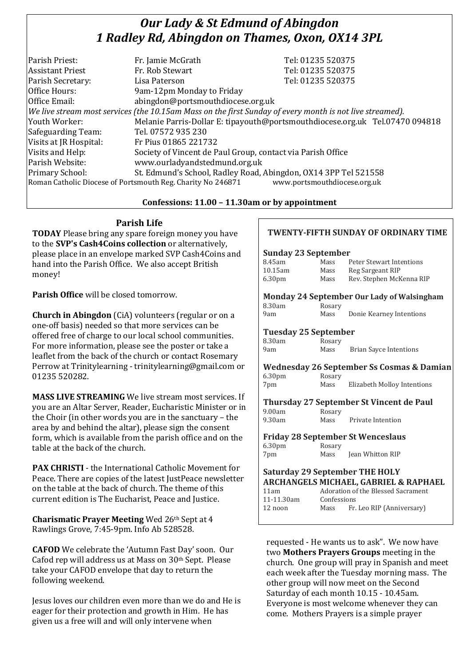# *Our Lady & St Edmund of Abingdon 1 Radley Rd, Abingdon on Thames, Oxon, OX14 3PL*

| Parish Priest:                                                                              | Fr. Jamie McGrath                                                                                        | Tel: 01235 520375                                                            |
|---------------------------------------------------------------------------------------------|----------------------------------------------------------------------------------------------------------|------------------------------------------------------------------------------|
| <b>Assistant Priest</b>                                                                     | Fr. Rob Stewart                                                                                          | Tel: 01235 520375                                                            |
| Parish Secretary:                                                                           | Lisa Paterson                                                                                            | Tel: 01235 520375                                                            |
| Office Hours:                                                                               | 9am-12pm Monday to Friday                                                                                |                                                                              |
| Office Email:                                                                               | abingdon@portsmouthdiocese.org.uk                                                                        |                                                                              |
|                                                                                             | We live stream most services (the 10.15am Mass on the first Sunday of every month is not live streamed). |                                                                              |
| Youth Worker:                                                                               |                                                                                                          | Melanie Parris-Dollar E: tipayouth@portsmouthdiocese.org.uk Tel.07470 094818 |
| Safeguarding Team:                                                                          | Tel. 07572 935 230                                                                                       |                                                                              |
| Visits at JR Hospital:                                                                      | Fr Pius 01865 221732                                                                                     |                                                                              |
| Visits and Help:                                                                            | Society of Vincent de Paul Group, contact via Parish Office                                              |                                                                              |
| Parish Website:                                                                             | www.ourladyandstedmund.org.uk                                                                            |                                                                              |
| <b>Primary School:</b>                                                                      | St. Edmund's School, Radley Road, Abingdon, OX14 3PP Tel 521558                                          |                                                                              |
| www.portsmouthdiocese.org.uk<br>Roman Catholic Diocese of Portsmouth Reg. Charity No 246871 |                                                                                                          |                                                                              |

#### **Confessions: 11.00 – 11.30am or by appointment**

## **Parish Life**

**TODAY** Please bring any spare foreign money you have to the **SVP's Cash4Coins collection** or alternatively, please place in an envelope marked SVP Cash4Coins and hand into the Parish Office. We also accept British money!

**Parish Office** will be closed tomorrow.

**Church in Abingdon** (CiA) volunteers (regular or on a one-off basis) needed so that more services can be offered free of charge to our local school communities. For more information, please see the poster or take a leaflet from the back of the church or contact Rosemary Perrow at Trinitylearning - trinitylearning@gmail.com or 01235 520282.

**MASS LIVE STREAMING** We live stream most services. If you are an Altar Server, Reader, Eucharistic Minister or in the Choir (in other words you are in the sanctuary – the area by and behind the altar), please sign the consent form, which is available from the parish office and on the table at the back of the church.

**PAX CHRISTI** - the International Catholic Movement for Peace. There are copies of the latest JustPeace newsletter on the table at the back of church. The theme of this current edition is The Eucharist, Peace and Justice.

**Charismatic Prayer Meeting** Wed 26th Sept at 4 Rawlings Grove, 7:45-9pm. Info Ab 528528.

**CAFOD** We celebrate the 'Autumn Fast Day' soon. Our Cafod rep will address us at Mass on 30th Sept. Please take your CAFOD envelope that day to return the following weekend.

Jesus loves our children even more than we do and He is eager for their protection and growth in Him. He has given us a free will and will only intervene when

## **TWENTY-FIFTH SUNDAY OF ORDINARY TIME Sunday 23 September** 8.45am Mass Peter Stewart Intentions 10.15am Mass Reg Sargeant RIP 6.30pm Mass Rev. Stephen McKenna RIP **Monday 24 September Our Lady of Walsingham** 8.30am Rosary 9am Mass Donie Kearney Intentions **Tuesday 25 September** 8.30am Rosary 9am Mass Brian Sayce Intentions **Wednesday 26 September Ss Cosmas & Damian** 6.30pm Rosary 7pm Mass Elizabeth Molloy Intentions **Thursday 27 September St Vincent de Paul**  $9.00$ am 9.30am Mass Private Intention **Friday 28 September St Wenceslaus** 6.30pm Rosary 7pm Mass Jean Whitton RIP **Saturday 29 September THE HOLY ARCHANGELS MICHAEL, GABRIEL & RAPHAEL** 11am Adoration of the Blessed Sacrament 11-11.30am Confessions 12 noon Mass Fr. Leo RIP (Anniversary)

requested - He wants us to ask". We now have two **Mothers Prayers Groups** meeting in the church. One group will pray in Spanish and meet each week after the Tuesday morning mass. The other group will now meet on the Second Saturday of each month 10.15 - 10.45am. Everyone is most welcome whenever they can come. Mothers Prayers is a simple prayer